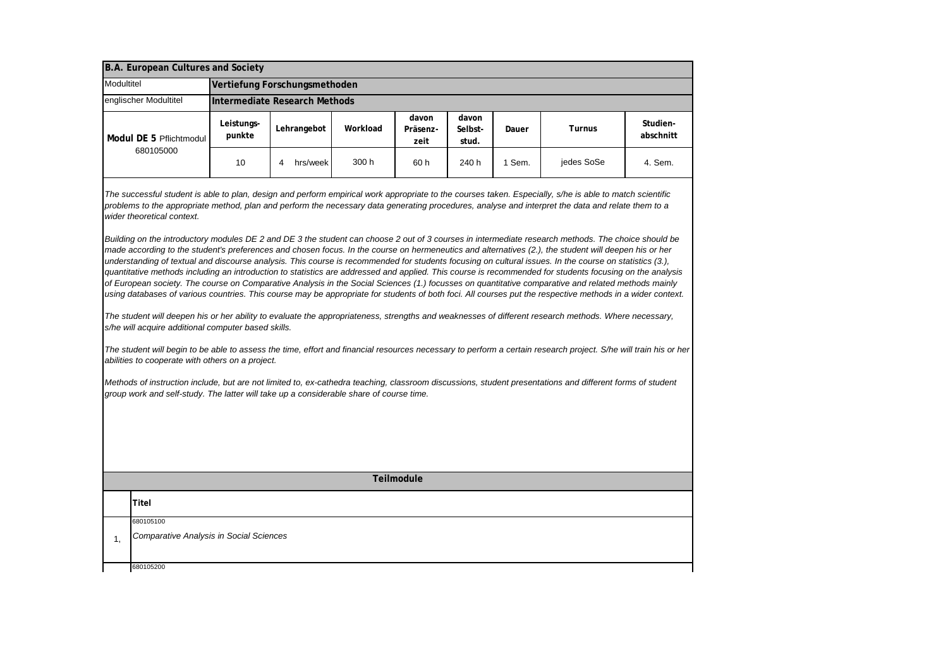| B.A. European Cultures and Society                                                                                                                                                                                                                                                                                                                                                                                                                                                                                                                                                                                                                                                                                                                                                                                                                                                                                                                                                                                                                                                                                                                                                                                                                                                                                                                                                                                                                                                                                                                                                                                                                                                                                                                                                                                                                                                                                                                                                                      |                               |               |          |                           |                           |        |               |                       |
|---------------------------------------------------------------------------------------------------------------------------------------------------------------------------------------------------------------------------------------------------------------------------------------------------------------------------------------------------------------------------------------------------------------------------------------------------------------------------------------------------------------------------------------------------------------------------------------------------------------------------------------------------------------------------------------------------------------------------------------------------------------------------------------------------------------------------------------------------------------------------------------------------------------------------------------------------------------------------------------------------------------------------------------------------------------------------------------------------------------------------------------------------------------------------------------------------------------------------------------------------------------------------------------------------------------------------------------------------------------------------------------------------------------------------------------------------------------------------------------------------------------------------------------------------------------------------------------------------------------------------------------------------------------------------------------------------------------------------------------------------------------------------------------------------------------------------------------------------------------------------------------------------------------------------------------------------------------------------------------------------------|-------------------------------|---------------|----------|---------------------------|---------------------------|--------|---------------|-----------------------|
| Modultitel                                                                                                                                                                                                                                                                                                                                                                                                                                                                                                                                                                                                                                                                                                                                                                                                                                                                                                                                                                                                                                                                                                                                                                                                                                                                                                                                                                                                                                                                                                                                                                                                                                                                                                                                                                                                                                                                                                                                                                                              | Vertiefung Forschungsmethoden |               |          |                           |                           |        |               |                       |
| englischer Modultitel                                                                                                                                                                                                                                                                                                                                                                                                                                                                                                                                                                                                                                                                                                                                                                                                                                                                                                                                                                                                                                                                                                                                                                                                                                                                                                                                                                                                                                                                                                                                                                                                                                                                                                                                                                                                                                                                                                                                                                                   | Intermediate Research Methods |               |          |                           |                           |        |               |                       |
| Modul DE 5 Pflichtmodul<br>680105000                                                                                                                                                                                                                                                                                                                                                                                                                                                                                                                                                                                                                                                                                                                                                                                                                                                                                                                                                                                                                                                                                                                                                                                                                                                                                                                                                                                                                                                                                                                                                                                                                                                                                                                                                                                                                                                                                                                                                                    | Leistungs-<br>punkte          | Lehrangebot   | Workload | davon<br>Präsenz-<br>zeit | davon<br>Selbst-<br>stud. | Dauer  | <b>Turnus</b> | Studien-<br>abschnitt |
|                                                                                                                                                                                                                                                                                                                                                                                                                                                                                                                                                                                                                                                                                                                                                                                                                                                                                                                                                                                                                                                                                                                                                                                                                                                                                                                                                                                                                                                                                                                                                                                                                                                                                                                                                                                                                                                                                                                                                                                                         | 10                            | 4<br>hrs/week | 300 h    | 60 h                      | 240 h                     | 1 Sem. | jedes SoSe    | 4. Sem.               |
| The successful student is able to plan, design and perform empirical work appropriate to the courses taken. Especially, s/he is able to match scientific<br>problems to the appropriate method, plan and perform the necessary data generating procedures, analyse and interpret the data and relate them to a<br>wider theoretical context.<br>Building on the introductory modules DE 2 and DE 3 the student can choose 2 out of 3 courses in intermediate research methods. The choice should be<br>made according to the student's preferences and chosen focus. In the course on hermeneutics and alternatives (2.), the student will deepen his or her<br>understanding of textual and discourse analysis. This course is recommended for students focusing on cultural issues. In the course on statistics (3.),<br>quantitative methods including an introduction to statistics are addressed and applied. This course is recommended for students focusing on the analysis<br>of European society. The course on Comparative Analysis in the Social Sciences (1.) focusses on quantitative comparative and related methods mainly<br>using databases of various countries. This course may be appropriate for students of both foci. All courses put the respective methods in a wider context.<br>The student will deepen his or her ability to evaluate the appropriateness, strengths and weaknesses of different research methods. Where necessary,<br>s/he will acquire additional computer based skills.<br>The student will begin to be able to assess the time, effort and financial resources necessary to perform a certain research project. S/he will train his or her<br>abilities to cooperate with others on a project.<br>Methods of instruction include, but are not limited to, ex-cathedra teaching, classroom discussions, student presentations and different forms of student<br>group work and self-study. The latter will take up a considerable share of course time. |                               |               |          |                           |                           |        |               |                       |
| Teilmodule                                                                                                                                                                                                                                                                                                                                                                                                                                                                                                                                                                                                                                                                                                                                                                                                                                                                                                                                                                                                                                                                                                                                                                                                                                                                                                                                                                                                                                                                                                                                                                                                                                                                                                                                                                                                                                                                                                                                                                                              |                               |               |          |                           |                           |        |               |                       |
| Titel                                                                                                                                                                                                                                                                                                                                                                                                                                                                                                                                                                                                                                                                                                                                                                                                                                                                                                                                                                                                                                                                                                                                                                                                                                                                                                                                                                                                                                                                                                                                                                                                                                                                                                                                                                                                                                                                                                                                                                                                   |                               |               |          |                           |                           |        |               |                       |
| 680105100<br>Comparative Analysis in Social Sciences<br>1.                                                                                                                                                                                                                                                                                                                                                                                                                                                                                                                                                                                                                                                                                                                                                                                                                                                                                                                                                                                                                                                                                                                                                                                                                                                                                                                                                                                                                                                                                                                                                                                                                                                                                                                                                                                                                                                                                                                                              |                               |               |          |                           |                           |        |               |                       |
| 680105200                                                                                                                                                                                                                                                                                                                                                                                                                                                                                                                                                                                                                                                                                                                                                                                                                                                                                                                                                                                                                                                                                                                                                                                                                                                                                                                                                                                                                                                                                                                                                                                                                                                                                                                                                                                                                                                                                                                                                                                               |                               |               |          |                           |                           |        |               |                       |